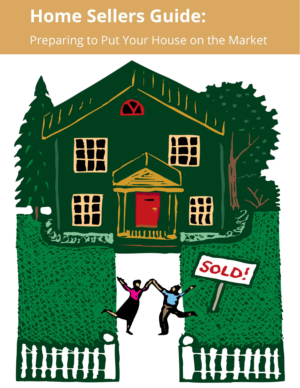# **Home Sellers Guide:**

Preparing to Put Your House on the Market

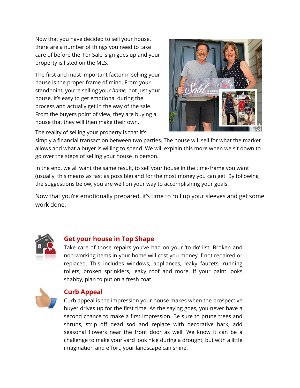Now that you have decided to sell your house, there are a number of things you need to take care of before the 'For Sale' sign goes up and your property is listed on the MLS.

The first and most important factor in selling your house is the proper frame of mind. From your standpoint, you're selling your *home,* not just your house. It's easy to get emotional during the process and actually get in the way of the sale. From the buyers point of view, they are buying a house that they will then make their own.

The reality of selling your property is that it's



simply a financial transaction between two parties. The house will sell for what the market allows and what a buyer is willing to spend. We will explain this more when we sit down to go over the steps of selling your house in person.

In the end, we all want the same result, to sell your house in the time-frame you want (usually, this means as fast as possible) and for the most money you can get. By following the suggestions below, you are well on your way to accomplishing your goals.

Now that you're emotionally prepared, it's time to roll up your sleeves and get some work done.



#### **Get your house in Top Shape**

Take care of those repairs you've had on your 'to-do' list. Broken and non-working items in your home will cost you money if not repaired or replaced. This includes windows, appliances, leaky faucets, running toilets, broken sprinklers, leaky roof and more. If your paint looks shabby, plan to put on a fresh coat.



#### **Curb Appeal**

Curb appeal is the impression your house makes when the prospective buyer drives up for the first time. As the saying goes, you never have a second chance to make a first impression. Be sure to prune trees and shrubs, strip off dead sod and replace with decorative bark, add seasonal flowers near the front door as well. We know it can be a challenge to make your yard look nice during a drought, but with a little imagination and effort, your landscape can shine.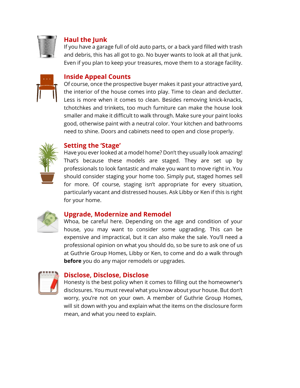

#### **Haul the Junk**

If you have a garage full of old auto parts, or a back yard filled with trash and debris, this has all got to go. No buyer wants to look at all that junk. Even if you plan to keep your treasures, move them to a storage facility.

# **Inside Appeal Counts**

Of course, once the prospective buyer makes it past your attractive yard, the interior of the house comes into play. Time to clean and declutter. Less is more when it comes to clean. Besides removing knick-knacks, tchotchkes and trinkets, too much furniture can make the house look smaller and make it difficult to walk through. Make sure your paint looks good, otherwise paint with a neutral color. Your kitchen and bathrooms need to shine. Doors and cabinets need to open and close properly.



#### **Setting the 'Stage'**

Have you ever looked at a model home? Don't they usually look amazing! That's because these models are staged. They are set up by professionals to look fantastic and make you want to move right in. You should consider staging your home too. Simply put, staged homes sell for more. Of course, staging isn't appropriate for every situation, particularly vacant and distressed houses. Ask Libby or Ken if this is right for your home.



#### **Upgrade, Modernize and Remodel**

Whoa, be careful here. Depending on the age and condition of your house, you may want to consider some upgrading. This can be expensive and impractical, but it can also make the sale. You'll need a professional opinion on what you should do, so be sure to ask one of us at Guthrie Group Homes, Libby or Ken, to come and do a walk through **before** you do any major remodels or upgrades.



#### **Disclose, Disclose, Disclose**

Honesty is the best policy when it comes to filling out the homeowner's disclosures. You must reveal what you know about your house. But don't worry, you're not on your own. A member of Guthrie Group Homes, will sit down with you and explain what the items on the disclosure form mean, and what you need to explain.